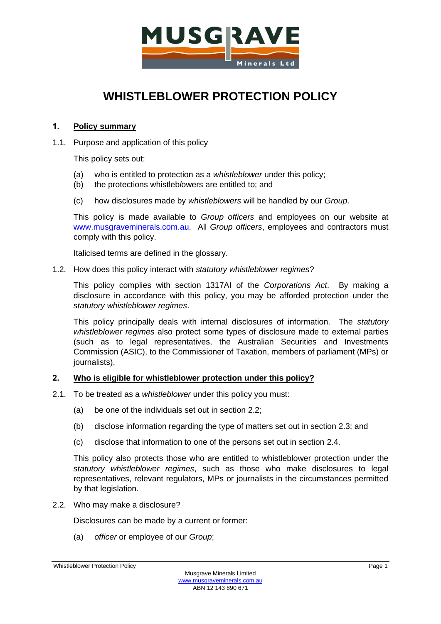

# **WHISTLEBLOWER PROTECTION POLICY**

# **1. Policy summary**

1.1. Purpose and application of this policy

This policy sets out:

- (a) who is entitled to protection as a *whistleblower* under this policy;
- (b) the protections whistleb*l*owers are entitled to; and
- (c) how disclosures made by *whistleblowers* will be handled by our *Group*.

This policy is made available to *Group officers* and employees on our website at [www.musgraveminerals.com.au.](http://www.musgraveminerals.com.au/) All *Group officers*, employees and contractors must comply with this policy.

Italicised terms are defined in the glossary.

1.2. How does this policy interact with *statutory whistleblower regimes*?

This policy complies with section 1317AI of the *Corporations Act*. By making a disclosure in accordance with this policy, you may be afforded protection under the *statutory whistleblower regimes*.

This policy principally deals with internal disclosures of information. The *statutory whistleblower regimes* also protect some types of disclosure made to external parties (such as to legal representatives, the Australian Securities and Investments Commission (ASIC), to the Commissioner of Taxation, members of parliament (MPs) or journalists).

# **2. Who is eligible for whistleblower protection under this policy?**

- 2.1. To be treated as a *whistleblower* under this policy you must:
	- (a) be one of the individuals set out in section [2.2;](#page-0-0)
	- (b) disclose information regarding the type of matters set out in section [2.3;](#page-1-0) and
	- (c) disclose that information to one of the persons set out in section [2.4.](#page-1-1)

This policy also protects those who are entitled to whistleblower protection under the *statutory whistleblower regimes*, such as those who make disclosures to legal representatives, relevant regulators, MPs or journalists in the circumstances permitted by that legislation.

<span id="page-0-0"></span>2.2. Who may make a disclosure?

Disclosures can be made by a current or former:

<span id="page-0-1"></span>(a) *officer* or employee of our *Group*;

Whistleblower Protection Policy **Protection Policy** Page 1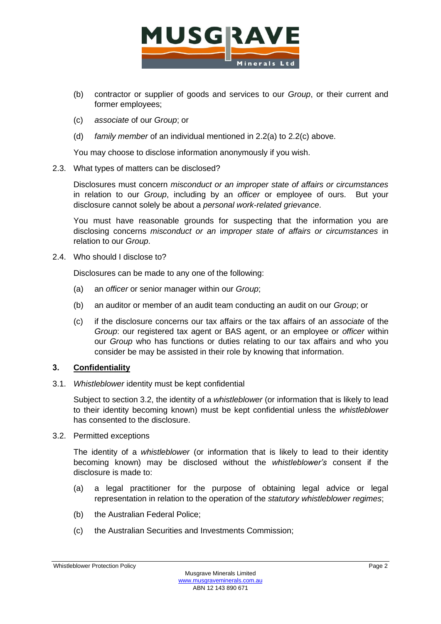

- (b) contractor or supplier of goods and services to our *Group*, or their current and former employees;
- <span id="page-1-2"></span>(c) *associate* of our *Group*; or
- (d) *family member* of an individual mentioned in [2.2\(a\)](#page-0-1) to [2.2\(c\)](#page-1-2) above.

You may choose to disclose information anonymously if you wish.

<span id="page-1-0"></span>2.3. What types of matters can be disclosed?

Disclosures must concern *misconduct or an improper state of affairs or circumstances* in relation to our *Group*, including by an *officer* or employee of ours. But your disclosure cannot solely be about a *personal work-related grievance*.

You must have reasonable grounds for suspecting that the information you are disclosing concerns *misconduct or an* i*mproper state of affairs or circumstances* in relation to our *Group*.

<span id="page-1-1"></span>2.4. Who should I disclose to?

Disclosures can be made to any one of the following:

- (a) an *officer* or senior manager within our *Group*;
- (b) an auditor or member of an audit team conducting an audit on our *Group*; or
- (c) if the disclosure concerns our tax affairs or the tax affairs of an *associate* of the *Group*: our registered tax agent or BAS agent, or an employee or *officer* within our *Group* who has functions or duties relating to our tax affairs and who you consider be may be assisted in their role by knowing that information.

# <span id="page-1-4"></span>**3. Confidentiality**

3.1. *Whistleblower* identity must be kept confidential

Subject to section [3.2,](#page-1-3) the identity of a *whistleblower* (or information that is likely to lead to their identity becoming known) must be kept confidential unless the *whistleblower* has consented to the disclosure.

<span id="page-1-3"></span>3.2. Permitted exceptions

The identity of a *whistleblower* (or information that is likely to lead to their identity becoming known) may be disclosed without the *whistleblower's* consent if the disclosure is made to:

- (a) a legal practitioner for the purpose of obtaining legal advice or legal representation in relation to the operation of the *statutory whistleblower regimes*;
- (b) the Australian Federal Police;
- (c) the Australian Securities and Investments Commission;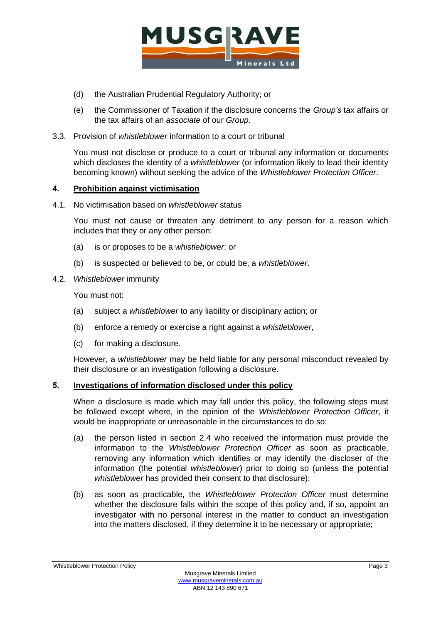

- (d) the Australian Prudential Regulatory Authority; or
- (e) the Commissioner of Taxation if the disclosure concerns the *Group's* tax affairs or the tax affairs of an *associate* of our *Group*.
- 3.3. Provision of *whistleblower* information to a court or tribunal

You must not disclose or produce to a court or tribunal any information or documents which discloses the identity of a *whistleblower* (or information likely to lead their identity becoming known) without seeking the advice of the *Whistleblower Protection Officer*.

# <span id="page-2-0"></span>**4. Prohibition against victimisation**

4.1. No victimisation based on *whistleblower* status

You must not cause or threaten any detriment to any person for a reason which includes that they or any other person:

- (a) is or proposes to be a *whistleblower*; or
- (b) is suspected or believed to be, or could be, a *whistleblower*.
- 4.2. *Whistleblower* immunity

You must not:

- (a) subject a *whistleblower* to any liability or disciplinary action; or
- (b) enforce a remedy or exercise a right against a *whistleblower*,
- (c) for making a disclosure.

However, a *whistleblower* may be held liable for any personal misconduct revealed by their disclosure or an investigation following a disclosure.

# **5. Investigations of information disclosed under this policy**

When a disclosure is made which may fall under this policy, the following steps must be followed except where, in the opinion of the *Whistleblower Protection Officer*, it would be inappropriate or unreasonable in the circumstances to do so:

- (a) the person listed in section [2.4](#page-1-1) who received the information must provide the information to the *Whistleblower Protection Officer* as soon as practicable, removing any information which identifies or may identify the discloser of the information (the potential *whistleblower*) prior to doing so (unless the potential *whistleblower* has provided their consent to that disclosure);
- (b) as soon as practicable, the *Whistleblower Protection Officer* must determine whether the disclosure falls within the scope of this policy and, if so, appoint an investigator with no personal interest in the matter to conduct an investigation into the matters disclosed, if they determine it to be necessary or appropriate;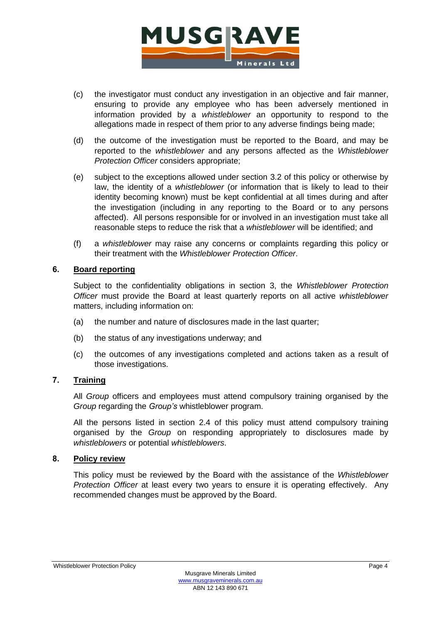

- (c) the investigator must conduct any investigation in an objective and fair manner, ensuring to provide any employee who has been adversely mentioned in information provided by a *whistleblower* an opportunity to respond to the allegations made in respect of them prior to any adverse findings being made;
- (d) the outcome of the investigation must be reported to the Board, and may be reported to the *whistleblower* and any persons affected as the *Whistleblower Protection Officer* considers appropriate;
- (e) subject to the exceptions allowed under section [3.2](#page-1-3) of this policy or otherwise by law, the identity of a *whistleblower* (or information that is likely to lead to their identity becoming known) must be kept confidential at all times during and after the investigation (including in any reporting to the Board or to any persons affected). All persons responsible for or involved in an investigation must take all reasonable steps to reduce the risk that a *whistleblower* will be identified; and
- (f) a *whistleblower* may raise any concerns or complaints regarding this policy or their treatment with the *Whistleblower Protection Officer*.

# **6. Board reporting**

Subject to the confidentiality obligations in section [3,](#page-1-4) the *Whistleblower Protection Officer* must provide the Board at least quarterly reports on all active *whistleblower* matters, including information on:

- (a) the number and nature of disclosures made in the last quarter;
- (b) the status of any investigations underway; and
- (c) the outcomes of any investigations completed and actions taken as a result of those investigations.

# **7. Training**

All *Group* officers and employees must attend compulsory training organised by the *Group* regarding the *Group's* whistleblower program.

All the persons listed in section [2.4](#page-1-1) of this policy must attend compulsory training organised by the *Group* on responding appropriately to disclosures made by *whistleblowers* or potential *whistleblowers*.

# **8. Policy review**

This policy must be reviewed by the Board with the assistance of the *Whistleblower Protection Officer* at least every two years to ensure it is operating effectively. Any recommended changes must be approved by the Board.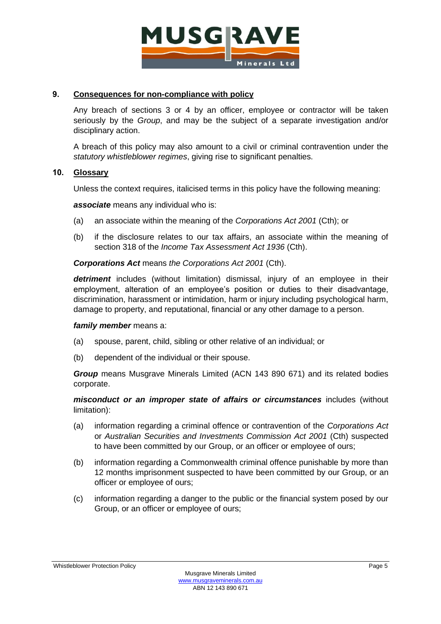

# **9. Consequences for non-compliance with policy**

Any breach of sections [3](#page-1-4) or [4](#page-2-0) by an officer, employee or contractor will be taken seriously by the *Group*, and may be the subject of a separate investigation and/or disciplinary action.

A breach of this policy may also amount to a civil or criminal contravention under the *statutory whistleblower regimes*, giving rise to significant penalties.

## **10. Glossary**

Unless the context requires, italicised terms in this policy have the following meaning:

*associate* means any individual who is:

- (a) an associate within the meaning of the *Corporations Act 2001* (Cth); or
- (b) if the disclosure relates to our tax affairs, an associate within the meaning of section 318 of the *Income Tax Assessment Act 1936* (Cth).

*Corporations Act* means *the Corporations Act 2001* (Cth).

*detriment* includes (without limitation) dismissal, injury of an employee in their employment, alteration of an employee's position or duties to their disadvantage, discrimination, harassment or intimidation, harm or injury including psychological harm, damage to property, and reputational, financial or any other damage to a person.

### *family member* means a:

- (a) spouse, parent, child, sibling or other relative of an individual; or
- (b) dependent of the individual or their spouse.

*Group* means Musgrave Minerals Limited (ACN 143 890 671) and its related bodies corporate.

*misconduct or an improper state of affairs or circumstances* includes (without limitation):

- (a) information regarding a criminal offence or contravention of the *Corporations Act* or *Australian Securities and Investments Commission Act 2001* (Cth) suspected to have been committed by our Group, or an officer or employee of ours;
- (b) information regarding a Commonwealth criminal offence punishable by more than 12 months imprisonment suspected to have been committed by our Group, or an officer or employee of ours;
- (c) information regarding a danger to the public or the financial system posed by our Group, or an officer or employee of ours;

#### Whistleblower Protection Policy **Protection Policy** Page 5